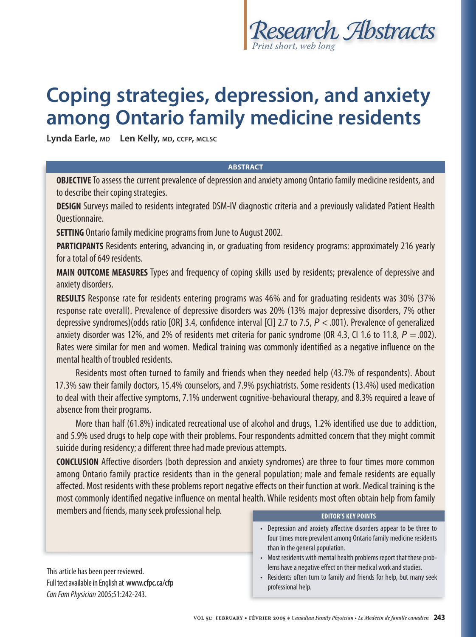

# **Coping strategies, depression, and anxiety among Ontario family medicine residents**

**Lynda Earle, MD Len Kelly, MD, CCFP, MCLSC**

### **ABSTRACT**

**OBJECTIVE** To assess the current prevalence of depression and anxiety among Ontario family medicine residents, and to describe their coping strategies.

**DESIGN** Surveys mailed to residents integrated DSM-IV diagnostic criteria and a previously validated Patient Health Questionnaire.

**SETTING** Ontario family medicine programs from June to August 2002.

**PARTICIPANTS** Residents entering, advancing in, or graduating from residency programs: approximately 216 yearly for a total of 649 residents.

**MAIN OUTCOME MEASURES** Types and frequency of coping skills used by residents; prevalence of depressive and anxiety disorders.

**RESULTS** Response rate for residents entering programs was 46% and for graduating residents was 30% (37% response rate overall). Prevalence of depressive disorders was 20% (13% major depressive disorders, 7% other depressive syndromes)(odds ratio [OR] 3.4, confidence interval [CI] 2.7 to 7.5,  $P < .001$ ). Prevalence of generalized anxiety disorder was 12%, and 2% of residents met criteria for panic syndrome (OR 4.3, CI 1.6 to 11.8,  $P = .002$ ). Rates were similar for men and women. Medical training was commonly identified as a negative influence on the mental health of troubled residents.

 Residents most often turned to family and friends when they needed help (43.7% of respondents). About 17.3% saw their family doctors, 15.4% counselors, and 7.9% psychiatrists. Some residents (13.4%) used medication to deal with their affective symptoms, 7.1% underwent cognitive-behavioural therapy, and 8.3% required a leave of absence from their programs.

More than half (61.8%) indicated recreational use of alcohol and drugs, 1.2% identified use due to addiction, and 5.9% used drugs to help cope with their problems. Four respondents admitted concern that they might commit suicide during residency; a different three had made previous attempts.

**CONCLUSION** Affective disorders (both depression and anxiety syndromes) are three to four times more common among Ontario family practice residents than in the general population; male and female residents are equally affected. Most residents with these problems report negative effects on their function at work. Medical training is the most commonly identified negative influence on mental health. While residents most often obtain help from family members and friends, many seek professional help. **EDITOR'S KEY POINTS** 

This article has been peer reviewed. Full text available in English at **www.cfpc.ca/cfp** Can Fam Physician 2005;51:242-243.

- Depression and anxiety affective disorders appear to be three to four times more prevalent among Ontario family medicine residents than in the general population.
- Most residents with mental health problems report that these problems have a negative effect on their medical work and studies.
- Residents often turn to family and friends for help, but many seek professional help.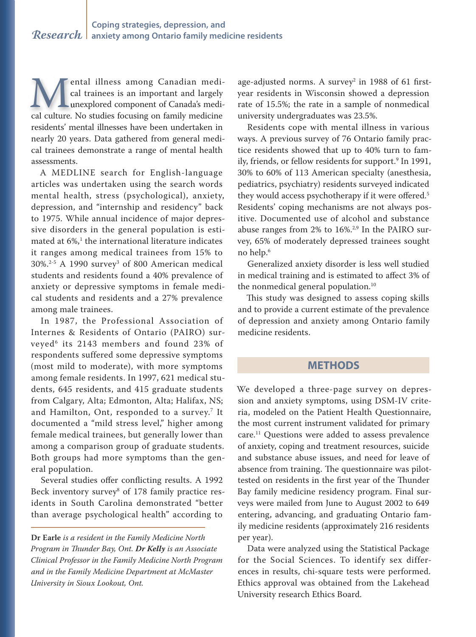ental illness among Canadian medi-ental illness among Canadian cal trainees is an important and largely cal trainees is an important and largely unexplored component of Canada's medi-**Cal culture.** No studies focusing on family medicine and culture. No studies focusing on family medicine residents' mental illnesses have been undertaken in nearly 20 years. Data gathered from general medical trainees demonstrate a range of mental health assessments.

A MEDLINE search for English-language articles was undertaken using the search words mental health, stress (psychological), anxiety, depression, and "internship and residency" back to 1975. While annual incidence of major depressive disorders in the general population is estimated at  $6\%,$ <sup>1</sup> the international literature indicates it ranges among medical trainees from 15% to  $30\%.^{2-5}$  A 1990 survey<sup>3</sup> of 800 American medical students and residents found a 40% prevalence of anxiety or depressive symptoms in female medical students and residents and a 27% prevalence among male trainees.

In 1987, the Professional Association of Internes & Residents of Ontario (PAIRO) surveyed6 its 2143 members and found 23% of respondents suffered some depressive symptoms (most mild to moderate), with more symptoms among female residents. In 1997, 621 medical students, 645 residents, and 415 graduate students from Calgary, Alta; Edmonton, Alta; Halifax, NS; and Hamilton, Ont, responded to a survey.<sup>7</sup> It documented a "mild stress level," higher among female medical trainees, but generally lower than among a comparison group of graduate students. Both groups had more symptoms than the general population.

Several studies offer conflicting results. A 1992 Beck inventory survey $^{\rm 8}$  of 178 family practice residents in South Carolina demonstrated "better than average psychological health" according to

age-adjusted norms. A survey $^2$  in 1988 of 61 firstyear residents in Wisconsin showed a depression rate of 15.5%; the rate in a sample of nonmedical university undergraduates was 23.5%.

Residents cope with mental illness in various ways. A previous survey of 76 Ontario family practice residents showed that up to 40% turn to family, friends, or fellow residents for support.9 In 1991, 30% to 60% of 113 American specialty (anesthesia, pediatrics, psychiatry) residents surveyed indicated they would access psychotherapy if it were offered.<sup>5</sup> Residents' coping mechanisms are not always positive. Documented use of alcohol and substance abuse ranges from  $2\%$  to  $16\%$ <sup>2,9</sup> In the PAIRO survey, 65% of moderately depressed trainees sought no help.6

Generalized anxiety disorder is less well studied in medical training and is estimated to affect 3% of the nonmedical general population.<sup>10</sup>

This study was designed to assess coping skills and to provide a current estimate of the prevalence of depression and anxiety among Ontario family medicine residents.

## **METHODS**

We developed a three-page survey on depression and anxiety symptoms, using DSM-IV criteria, modeled on the Patient Health Questionnaire, the most current instrument validated for primary care.11 Questions were added to assess prevalence of anxiety, coping and treatment resources, suicide and substance abuse issues, and need for leave of absence from training. The questionnaire was pilottested on residents in the first year of the Thunder Bay family medicine residency program. Final surveys were mailed from June to August 2002 to 649 entering, advancing, and graduating Ontario family medicine residents (approximately 216 residents per year).

Data were analyzed using the Statistical Package for the Social Sciences. To identify sex differences in results, chi-square tests were performed. Ethics approval was obtained from the Lakehead University research Ethics Board.

**Dr Earle** *is a resident in the Family Medicine North Program in Thunder Bay, Ont. Dr Kelly is an Associate Clinical Professor in the Family Medicine North Program and in the Family Medicine Department at McMaster University in Sioux Lookout, Ont.*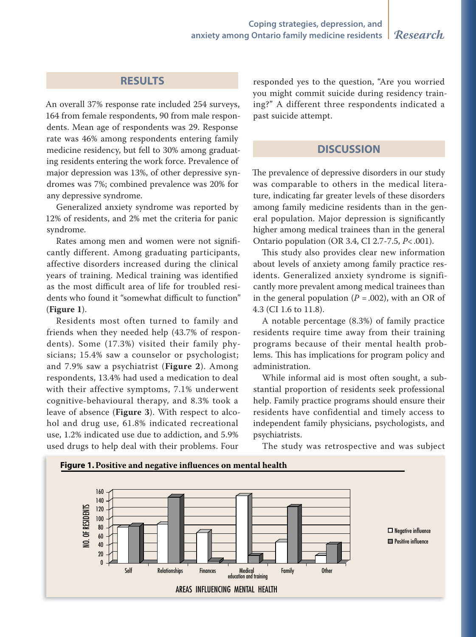# **RESULTS**

An overall 37% response rate included 254 surveys, 164 from female respondents, 90 from male respondents. Mean age of respondents was 29. Response rate was 46% among respondents entering family medicine residency, but fell to 30% among graduating residents entering the work force. Prevalence of major depression was 13%, of other depressive syndromes was 7%; combined prevalence was 20% for any depressive syndrome.

Generalized anxiety syndrome was reported by 12% of residents, and 2% met the criteria for panic syndrome.

Rates among men and women were not significantly different. Among graduating participants, affective disorders increased during the clinical years of training. Medical training was identified as the most difficult area of life for troubled residents who found it "somewhat difficult to function" (Figure 1).

Residents most often turned to family and friends when they needed help (43.7% of respondents). Some (17.3%) visited their family physicians; 15.4% saw a counselor or psychologist; and 7.9% saw a psychiatrist (Figure 2). Among respondents, 13.4% had used a medication to deal with their affective symptoms, 7.1% underwent cognitive-behavioural therapy, and 8.3% took a leave of absence (Figure 3). With respect to alcohol and drug use, 61.8% indicated recreational use, 1.2% indicated use due to addiction, and 5.9% used drugs to help deal with their problems. Four

responded yes to the question, "Are you worried you might commit suicide during residency training?" A different three respondents indicated a past suicide attempt.

# **DISCUSSION**

The prevalence of depressive disorders in our study was comparable to others in the medical literature, indicating far greater levels of these disorders among family medicine residents than in the general population. Major depression is significantly higher among medical trainees than in the general Ontario population (OR 3.4, CI 2.7-7.5,  $P < .001$ ).

This study also provides clear new information about levels of anxiety among family practice residents. Generalized anxiety syndrome is significantly more prevalent among medical trainees than in the general population ( $P = .002$ ), with an OR of 4.3 (CI 1.6 to 11.8).

A notable percentage (8.3%) of family practice residents require time away from their training programs because of their mental health problems. This has implications for program policy and administration.

While informal aid is most often sought, a substantial proportion of residents seek professional help. Family practice programs should ensure their residents have confidential and timely access to independent family physicians, psychologists, and psychiatrists.



The study was retrospective and was subject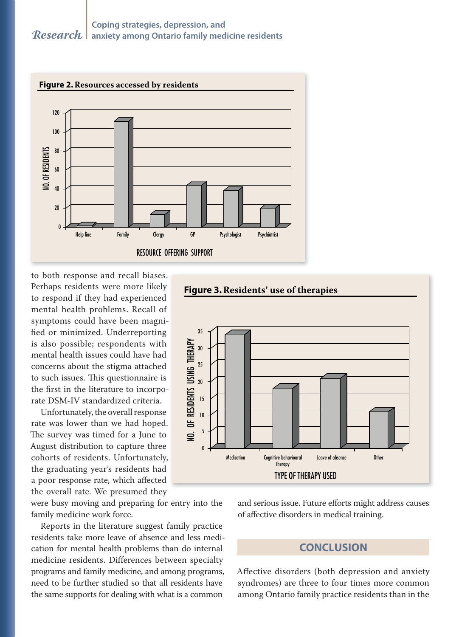

to both response and recall biases. Perhaps residents were more likely to respond if they had experienced mental health problems. Recall of symptoms could have been magnified or minimized. Underreporting is also possible; respondents with mental health issues could have had concerns about the stigma attached to such issues. This questionnaire is the first in the literature to incorporate DSM-IV standardized criteria.

Unfortunately, the overall response rate was lower than we had hoped. The survey was timed for a June to August distribution to capture three cohorts of residents. Unfortunately, the graduating year's residents had a poor response rate, which affected the overall rate. We presumed they

were busy moving and preparing for entry into the family medicine work force.

Reports in the literature suggest family practice residents take more leave of absence and less medication for mental health problems than do internal medicine residents. Differences between specialty programs and family medicine, and among programs, need to be further studied so that all residents have the same supports for dealing with what is a common



and serious issue. Future efforts might address causes of affective disorders in medical training.

# **CONCLUSION**

Affective disorders (both depression and anxiety syndromes) are three to four times more common among Ontario family practice residents than in the